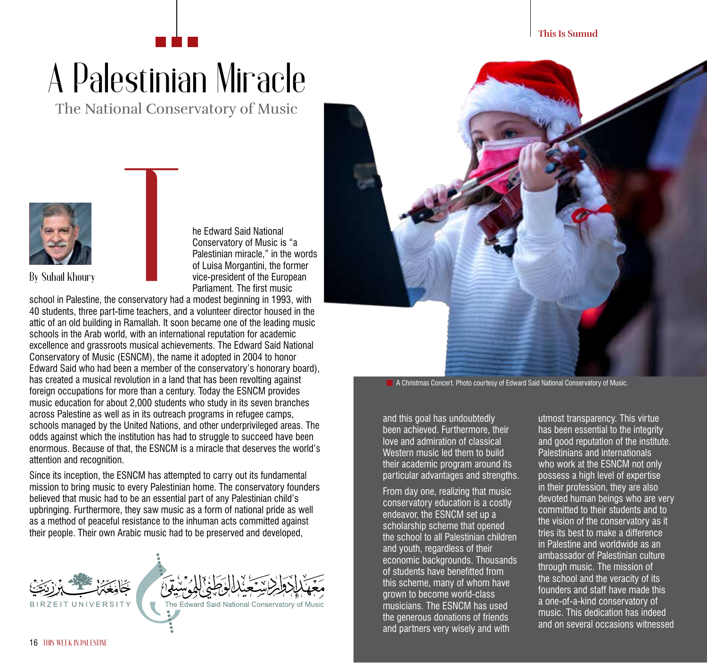## A Palestinian Miracle

The National Conservatory of Music



he Edward Said National Conservatory of Music is "a Palestinian miracle," in the words of Luisa Morgantini, the former vice-president of the European Parliament. The first music

school in Palestine, the conservatory had a modest beginning in 1993, with 40 students, three part-time teachers, and a volunteer director housed in the attic of an old building in Ramallah. It soon became one of the leading music schools in the Arab world, with an international reputation for academic excellence and grassroots musical achievements. The Edward Said National Conservatory of Music (ESNCM), the name it adopted in 2004 to honor Edward Said who had been a member of the conservatory's honorary board), has created a musical revolution in a land that has been revolting against foreign occupations for more than a century. Today the ESNCM provides music education for about 2,000 students who study in its seven branches across Palestine as well as in its outreach programs in refugee camps, schools managed by the United Nations, and other underprivileged areas. The odds against which the institution has had to struggle to succeed have been enormous. Because of that, the ESNCM is a miracle that deserves the world's attention and recognition.

Since its inception, the ESNCM has attempted to carry out its fundamental mission to bring music to every Palestinian home. The conservatory founders believed that music had to be an essential part of any Palestinian child's upbringing. Furthermore, they saw music as a form of national pride as well as a method of peaceful resistance to the inhuman acts committed against their people. Their own Arabic music had to be preserved and developed,





A Christmas Concert. Photo courtesy of Edward Said National Conservatory of Music.

and this goal has undoubtedly been achieved. Furthermore, their love and admiration of classical Western music led them to build their academic program around its particular advantages and strengths.

From day one, realizing that music conservatory education is a costly endeavor, the ESNCM set up a scholarship scheme that opened the school to all Palestinian children and youth, regardless of their economic backgrounds. Thousands of students have benefitted from this scheme, many of whom have grown to become world-class musicians. The ESNCM has used the generous donations of friends and partners very wisely and with

utmost transparency. This virtue has been essential to the integrity and good reputation of the institute. Palestinians and internationals who work at the ESNCM not only possess a high level of expertise in their profession, they are also devoted human beings who are very committed to their students and to the vision of the conservatory as it tries its best to make a difference in Palestine and worldwide as an ambassador of Palestinian culture through music. The mission of the school and the veracity of its founders and staff have made this a one-of-a-kind conservatory of music. This dedication has indeed and on several occasions witnessed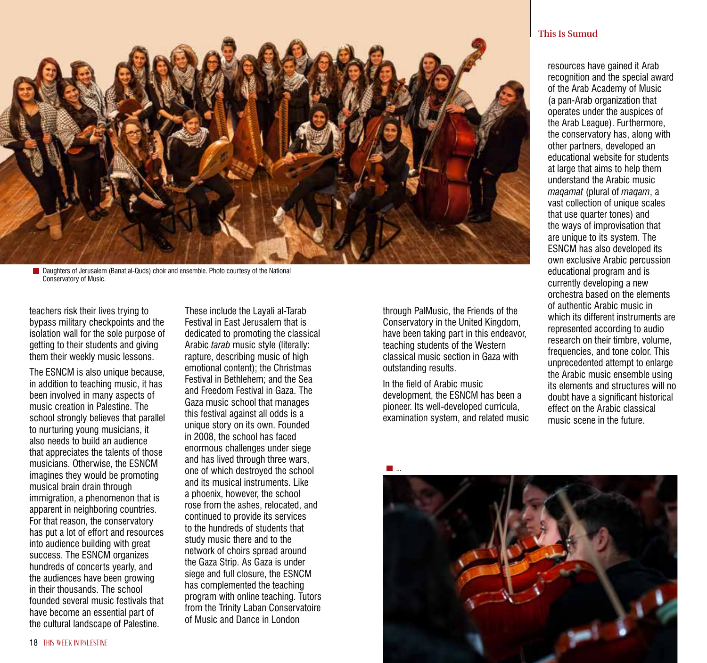

**Daughters of Jerusalem (Banat al-Quds) choir and ensemble. Photo courtesy of the National** Conservatory of Music.

teachers risk their lives trying to bypass military checkpoints and the isolation wall for the sole purpose of getting to their students and giving them their weekly music lessons.

The ESNCM is also unique because, in addition to teaching music, it has been involved in many aspects of music creation in Palestine. The school strongly believes that parallel to nurturing young musicians, it also needs to build an audience that appreciates the talents of those musicians. Otherwise, the ESNCM imagines they would be promoting musical brain drain through immigration, a phenomenon that is apparent in neighboring countries. For that reason, the conservatory has put a lot of effort and resources into audience building with great success. The ESNCM organizes hundreds of concerts yearly, and the audiences have been growing in their thousands. The school founded several music festivals that have become an essential part of the cultural landscape of Palestine.

These include the Layali al-Tarab Festival in East Jerusalem that is dedicated to promoting the classical Arabic *tarab* music style (literally: rapture, describing music of high emotional content); the Christmas Festival in Bethlehem; and the Sea and Freedom Festival in Gaza. The Gaza music school that manages this festival against all odds is a unique story on its own. Founded in 2008, the school has faced enormous challenges under siege and has lived through three wars, one of which destroyed the school and its musical instruments. Like a phoenix, however, the school rose from the ashes, relocated, and continued to provide its services to the hundreds of students that study music there and to the network of choirs spread around the Gaza Strip. As Gaza is under siege and full closure, the ESNCM has complemented the teaching program with online teaching. Tutors from the Trinity Laban Conservatoire of Music and Dance in London

through PalMusic, the Friends of the Conservatory in the United Kingdom, have been taking part in this endeavor, teaching students of the Western classical music section in Gaza with outstanding results.

In the field of Arabic music development, the ESNCM has been a pioneer. Its well-developed curricula, examination system, and related music

## **This Is Sumud**

resources have gained it Arab recognition and the special award of the Arab Academy of Music (a pan-Arab organization that operates under the auspices of the Arab League). Furthermore, the conservatory has, along with other partners, developed an educational website for students at large that aims to help them understand the Arabic music *maqamat* (plural of *maqam*, a vast collection of unique scales that use quarter tones) and the ways of improvisation that are unique to its system. The ESNCM has also developed its own exclusive Arabic percussion educational program and is currently developing a new orchestra based on the elements of authentic Arabic music in which its different instruments are represented according to audio research on their timbre, volume, frequencies, and tone color. This unprecedented attempt to enlarge the Arabic music ensemble using its elements and structures will no doubt have a significant historical effect on the Arabic classical music scene in the future.

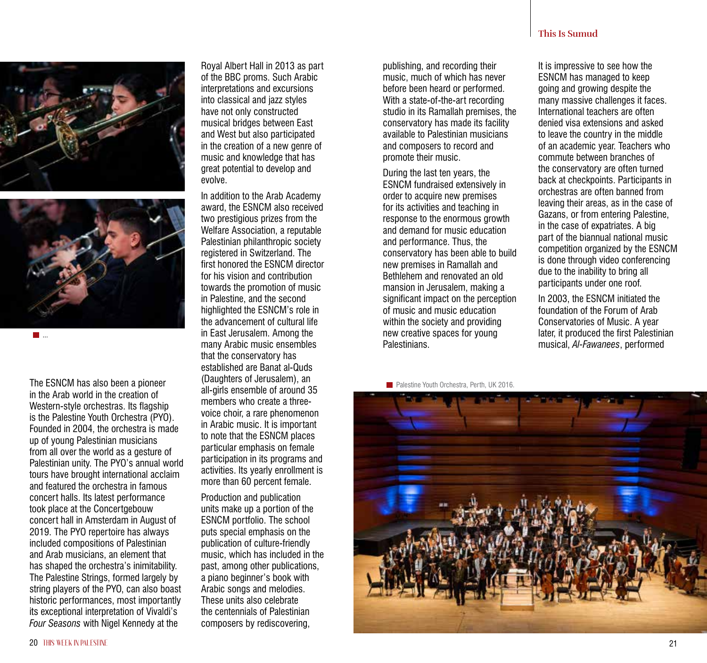## **This Is Sumud**

It is impressive to see how the ESNCM has managed to keep going and growing despite the of an academic year. Teachers who back at checkpoints. Participants in leaving their areas, as in the case of Gazans, or from entering Palestine, competition organized by the ESNCM is done through video conferencing

In 2003, the ESNCM initiated the foundation of the Forum of Arab Conservatories of Music. A year later, it produced the first Palestinian musical, *Al-Fawanees*, performed

many massive challenges it faces. International teachers are often denied visa extensions and asked to leave the country in the middle commute between branches of the conservatory are often turned orchestras are often banned from in the case of expatriates. A big part of the biannual national music due to the inability to bring all participants under one roof.

The ESNCM has also been a pioneer in the Arab world in the creation of Western-style orchestras. Its flagship is the Palestine Youth Orchestra (PYO). Founded in 2004, the orchestra is made up of young Palestinian musicians from all over the world as a gesture of Palestinian unity. The PYO's annual world tours have brought international acclaim and featured the orchestra in famous concert halls. Its latest performance took place at the Concertgebouw concert hall in Amsterdam in August of 2019. The PYO repertoire has always included compositions of Palestinian and Arab musicians, an element that has shaped the orchestra's inimitability. The Palestine Strings, formed largely by string players of the PYO, can also boast historic performances, most importantly its exceptional interpretation of Vivaldi's *Four Seasons* with Nigel Kennedy at the

Royal Albert Hall in 2013 as part of the BBC proms. Such Arabic interpretations and excursions into classical and jazz styles have not only constructed musical bridges between East and West but also participated in the creation of a new genre of music and knowledge that has great potential to develop and evolve.

In addition to the Arab Academy award, the ESNCM also received two prestigious prizes from the Welfare Association, a reputable Palestinian philanthropic society registered in Switzerland. The first honored the ESNCM director for his vision and contribution towards the promotion of music in Palestine, and the second highlighted the ESNCM's role in the advancement of cultural life in East Jerusalem. Among the many Arabic music ensembles that the conservatory has established are Banat al-Quds (Daughters of Jerusalem), an all-girls ensemble of around 35 members who create a threevoice choir, a rare phenomenon in Arabic music. It is important to note that the ESNCM places particular emphasis on female participation in its programs and activities. Its yearly enrollment is more than 60 percent female.

Production and publication units make up a portion of the ESNCM portfolio. The school puts special emphasis on the publication of culture-friendly music, which has included in the past, among other publications, a piano beginner's book with Arabic songs and melodies. These units also celebrate the centennials of Palestinian composers by rediscovering,

## **Palestine Youth Orchestra, Perth, UK 2016**

Palestinians.

publishing, and recording their music, much of which has never before been heard or performed. With a state-of-the-art recording studio in its Ramallah premises, the conservatory has made its facility available to Palestinian musicians and composers to record and promote their music.

During the last ten years, the ESNCM fundraised extensively in order to acquire new premises for its activities and teaching in response to the enormous growth and demand for music education and performance. Thus, the conservatory has been able to build new premises in Ramallah and Bethlehem and renovated an old mansion in Jerusalem, making a significant impact on the perception of music and music education within the society and providing new creative spaces for young





...